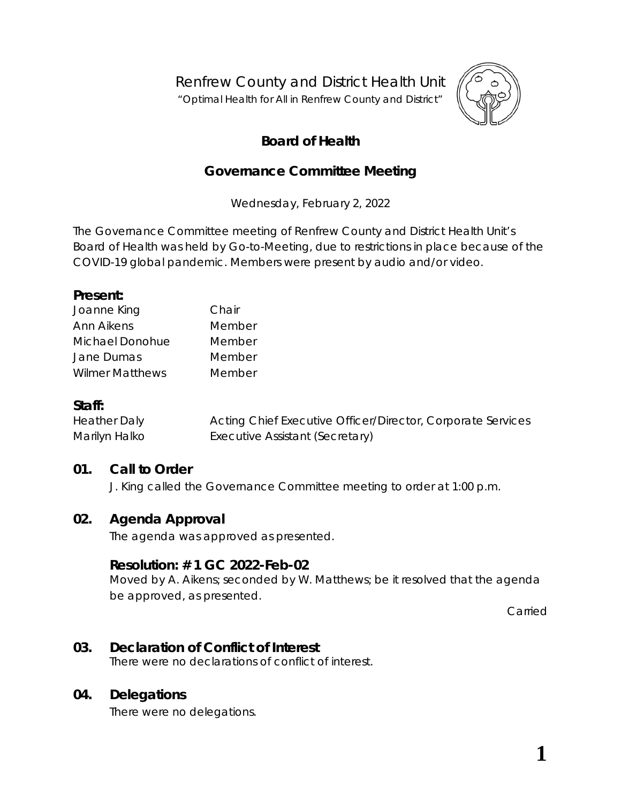Renfrew County and District Health Unit

"*Optimal Health for All in Renfrew County and District"*



# **Board of Health**

## **Governance Committee Meeting**

Wednesday, February 2, 2022

The Governance Committee meeting of Renfrew County and District Health Unit's Board of Health was held by *Go-to-Meeting,* due to restrictions in place because of the COVID-19 global pandemic. Members were present by audio and/or video.

#### **Present:**

| Joanne King            | Chair  |
|------------------------|--------|
| Ann Aikens             | Member |
| Michael Donohue        | Member |
| Jane Dumas             | Member |
| <b>Wilmer Matthews</b> | Member |

## **Staff:**

Heather Daly Acting Chief Executive Officer/Director, Corporate Services Marilyn Halko **Executive Assistant (Secretary)** 

## **01. Call to Order**

J. King called the Governance Committee meeting to order at 1:00 p.m.

## **02. Agenda Approval**

The agenda was approved as presented.

## **Resolution: # 1 GC 2022-Feb-02**

Moved by A. Aikens; seconded by W. Matthews; be it resolved that the agenda be approved, as presented.

Carried

# **03. Declaration of Conflict of Interest**

There were no declarations of conflict of interest.

## **04. Delegations**

There were no delegations.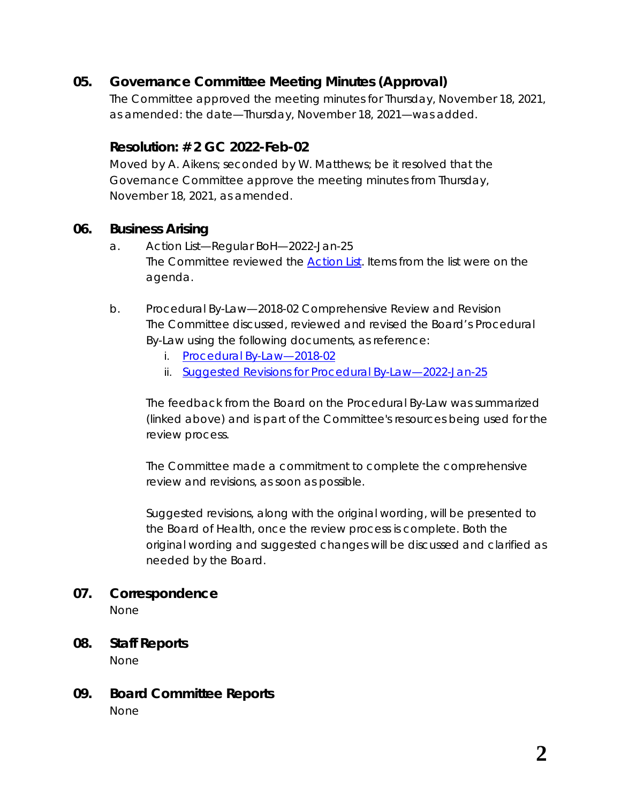## **05. Governance Committee Meeting Minutes (Approval)**

The Committee approved the meeting minutes for Thursday, November 18, 2021, as amended: the date—Thursday, November 18, 2021—was added.

## **Resolution: # 2 GC 2022-Feb-02**

Moved by A. Aikens; seconded by W. Matthews; be it resolved that the Governance Committee approve the meeting minutes from Thursday, November 18, 2021, as amended.

### **06. Business Arising**

- a. Action List—Regular BoH—2022-Jan-25 The Committee reviewed the *[Action List](https://www.rcdhu.com/wp-content/uploads/2022/03/06.-a.-Action-List-from-the-Regular-Board-Meeting-2022-Jan-25.pdf)*. Items from the list were on the agenda.
- b. Procedural By-Law—2018-02 Comprehensive Review and Revision The Committee discussed, reviewed and revised the Board's Procedural By-Law using the following documents, as reference:
	- i. *[Procedural By-Law—2018-02](https://www.rcdhu.com/wp-content/uploads/2021/11/11.-b.-BoH-Procedural-By-Law-2018-02.pdf)*
	- ii. *[Suggested Revisions for Procedural By-Law—2022-Jan-25](https://www.rcdhu.com/wp-content/uploads/2022/03/06.-b.-ii.-Procedural-By-Law-Suggested-Revisions-updated-2022-Jan-25.pdf)*

The feedback from the Board on the Procedural By-Law was summarized (linked above) and is part of the Committee's resources being used for the review process.

The Committee made a commitment to complete the comprehensive review and revisions, as soon as possible.

Suggested revisions, along with the original wording, will be presented to the Board of Health, once the review process is complete. Both the original wording and suggested changes will be discussed and clarified as needed by the Board.

#### **07. Correspondence**

None

- **08. Staff Reports** None
- **09. Board Committee Reports** None